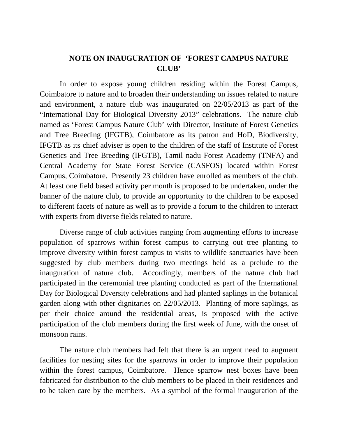## **NOTE ON INAUGURATION OF 'FOREST CAMPUS NATURE CLUB'**

In order to expose young children residing within the Forest Campus, Coimbatore to nature and to broaden their understanding on issues related to nature and environment, a nature club was inaugurated on 22/05/2013 as part of the "International Day for Biological Diversity 2013" celebrations. The nature club named as 'Forest Campus Nature Club' with Director, Institute of Forest Genetics and Tree Breeding (IFGTB), Coimbatore as its patron and HoD, Biodiversity, IFGTB as its chief adviser is open to the children of the staff of Institute of Forest Genetics and Tree Breeding (IFGTB), Tamil nadu Forest Academy (TNFA) and Central Academy for State Forest Service (CASFOS) located within Forest Campus, Coimbatore. Presently 23 children have enrolled as members of the club. At least one field based activity per month is proposed to be undertaken, under the banner of the nature club, to provide an opportunity to the children to be exposed to different facets of nature as well as to provide a forum to the children to interact with experts from diverse fields related to nature.

Diverse range of club activities ranging from augmenting efforts to increase population of sparrows within forest campus to carrying out tree planting to improve diversity within forest campus to visits to wildlife sanctuaries have been suggested by club members during two meetings held as a prelude to the inauguration of nature club. Accordingly, members of the nature club had participated in the ceremonial tree planting conducted as part of the International Day for Biological Diversity celebrations and had planted saplings in the botanical garden along with other dignitaries on 22/05/2013. Planting of more saplings, as per their choice around the residential areas, is proposed with the active participation of the club members during the first week of June, with the onset of monsoon rains.

The nature club members had felt that there is an urgent need to augment facilities for nesting sites for the sparrows in order to improve their population within the forest campus, Coimbatore. Hence sparrow nest boxes have been fabricated for distribution to the club members to be placed in their residences and to be taken care by the members. As a symbol of the formal inauguration of the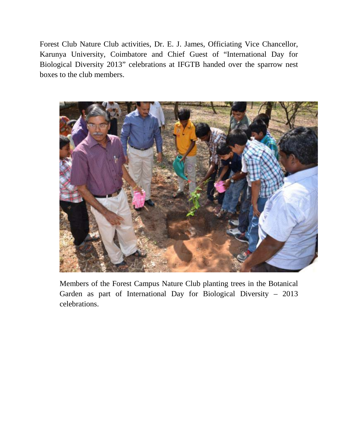Forest Club Nature Club activities, Dr. E. J. James, Officiating Vice Chancellor, Karunya University, Coimbatore and Chief Guest of "International Day for Biological Diversity 2013" celebrations at IFGTB handed over the sparrow nest boxes to the club members.



Members of the Forest Campus Nature Club planting trees in the Botanical Garden as part of International Day for Biological Diversity – 2013 celebrations.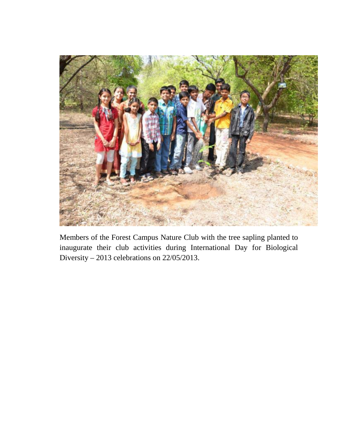

Members of the Forest Campus Nature Club with the tree sapling planted to inaugurate their club activities during International Day for Biological Diversity – 2013 celebrations on 22/05/2013.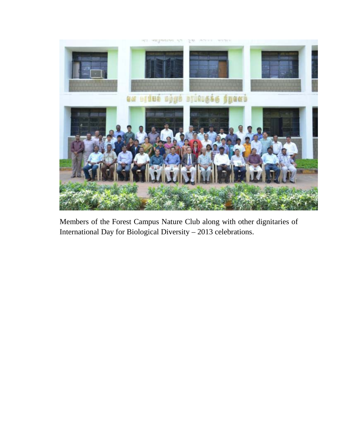

Members of the Forest Campus Nature Club along with other dignitaries of International Day for Biological Diversity – 2013 celebrations.